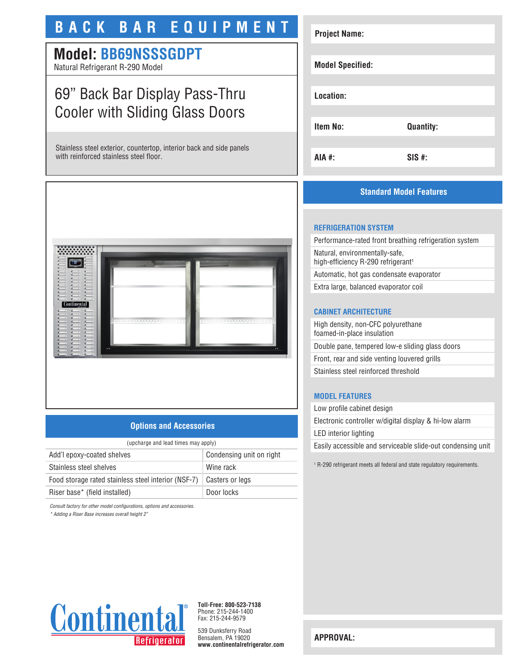# **BACK BAR EQUIPMENT**

# **Model: BB69NSSSGDPT**

Natural Refrigerant R-290 Model

# 69" Back Bar Display Pass-Thru Cooler with Sliding Glass Doors

Stainless steel exterior, countertop, interior back and side panels with reinforced stainless steel floor.



### **Options and Accessories**

| (upcharge and lead times may apply)                 |                          |
|-----------------------------------------------------|--------------------------|
| Add'l epoxy-coated shelves                          | Condensing unit on right |
| Stainless steel shelves                             | Wine rack                |
| Food storage rated stainless steel interior (NSF-7) | Casters or legs          |
| Riser base* (field installed)                       | Door locks               |
|                                                     |                          |

*Consult factory for other model configurations, options and accessories.*

*\* Adding a Riser Base increases overall height 2"*



## **Standard Model Features**

### **REFRIGERATION SYSTEM**

Performance-rated front breathing refrigeration system Natural, environmentally-safe, high-efficiency R-290 refrigerant<sup>1</sup> Automatic, hot gas condensate evaporator

Extra large, balanced evaporator coil

### **CABINET ARCHITECTURE**

High density, non-CFC polyurethane foamed-in-place insulation Double pane, tempered low-e sliding glass doors Front, rear and side venting louvered grills Stainless steel reinforced threshold

#### **MODEL FEATURES**

Low profile cabinet design Electronic controller w/digital display & hi-low alarm LED interior lighting Easily accessible and serviceable slide-out condensing unit

1 R-290 refrigerant meets all federal and state regulatory requirements.



**Toll-Free: 800-523-7138** Phone: 215-244-1400 Fax: 215-244-9579

539 Dunksferry Road Bensalem, PA 19020 **www.continentalrefrigerator.com** 

**APPROVAL:**